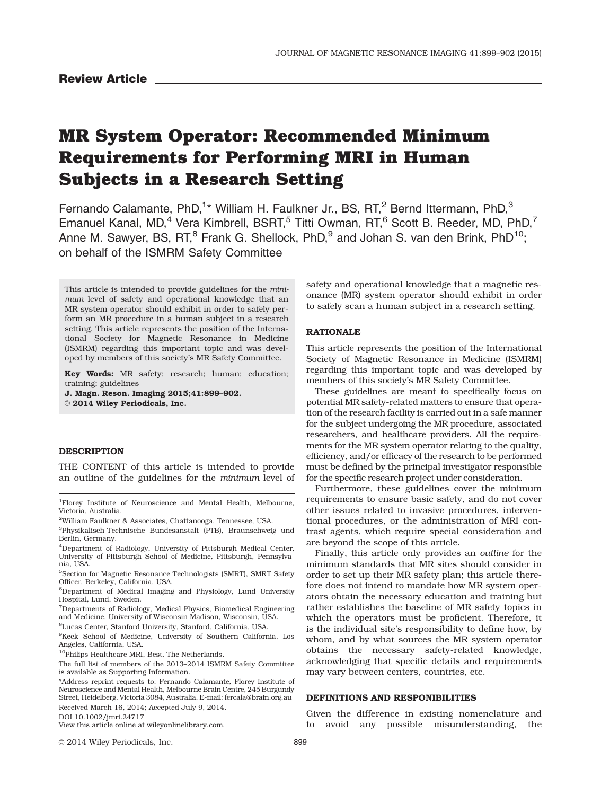# MR System Operator: Recommended Minimum Requirements for Performing MRI in Human Subjects in a Research Setting

Fernando Calamante, PhD,<sup>1</sup>\* William H. Faulkner Jr., BS, RT,<sup>2</sup> Bernd Ittermann, PhD,<sup>3</sup> Emanuel Kanal, MD,<sup>4</sup> Vera Kimbrell, BSRT,<sup>5</sup> Titti Owman, RT,<sup>6</sup> Scott B. Reeder, MD, PhD,<sup>7</sup> Anne M. Sawyer, BS, RT, $^8$  Frank G. Shellock, PhD, $^9$  and Johan S. van den Brink, PhD $^{10}$ ; on behalf of the ISMRM Safety Committee

This article is intended to provide guidelines for the minimum level of safety and operational knowledge that an MR system operator should exhibit in order to safely perform an MR procedure in a human subject in a research setting. This article represents the position of the International Society for Magnetic Resonance in Medicine (ISMRM) regarding this important topic and was developed by members of this society's MR Safety Committee.

Key Words: MR safety; research; human; education; training; guidelines

J. Magn. Reson. Imaging 2015;41:899–902.

© 2014 Wiley Periodicals, Inc.

# DESCRIPTION

THE CONTENT of this article is intended to provide an outline of the guidelines for the minimum level of

1 Florey Institute of Neuroscience and Mental Health, Melbourne, Victoria, Australia.

 $^{2}$ William Faulkner & Associates, Chattanooga, Tennessee, USA.

<sup>3</sup>Physikalisch-Technische Bundesanstalt (PTB), Braunschweig und Berlin, Germany.

4 Department of Radiology, University of Pittsburgh Medical Center, University of Pittsburgh School of Medicine, Pittsburgh, Pennsylvania, USA.

5 Section for Magnetic Resonance Technologists (SMRT), SMRT Safety Officer, Berkeley, California, USA.

6 Department of Medical Imaging and Physiology, Lund University Hospital, Lund, Sweden.

<sup>7</sup>Departments of Radiology, Medical Physics, Biomedical Engineering and Medicine, University of Wisconsin Madison, Wisconsin, USA. 8 Lucas Center, Stanford University, Stanford, California, USA.

<sup>9</sup>Keck School of Medicine, University of Southern California, Los Angeles, California, USA.

10Philips Healthcare MRI, Best, The Netherlands.

The full list of members of the 2013–2014 ISMRM Safety Committee is available as Supporting Information.

\*Address reprint requests to: Fernando Calamante, Florey Institute of Neuroscience and Mental Health, Melbourne Brain Centre, 245 Burgundy Street, Heidelberg, Victoria 3084, Australia. E-mail: fercala@brain.org.au Received March 16, 2014; Accepted July 9, 2014.

DOI 10.1002/jmri.24717

View this article online at wileyonlinelibrary.com.

© 2014 Wiley Periodicals, Inc. 899

safety and operational knowledge that a magnetic resonance (MR) system operator should exhibit in order to safely scan a human subject in a research setting.

#### RATIONALE

This article represents the position of the International Society of Magnetic Resonance in Medicine (ISMRM) regarding this important topic and was developed by members of this society's MR Safety Committee.

These guidelines are meant to specifically focus on potential MR safety-related matters to ensure that operation of the research facility is carried out in a safe manner for the subject undergoing the MR procedure, associated researchers, and healthcare providers. All the requirements for the MR system operator relating to the quality, efficiency, and/or efficacy of the research to be performed must be defined by the principal investigator responsible for the specific research project under consideration.

Furthermore, these guidelines cover the minimum requirements to ensure basic safety, and do not cover other issues related to invasive procedures, interventional procedures, or the administration of MRI contrast agents, which require special consideration and are beyond the scope of this article.

Finally, this article only provides an outline for the minimum standards that MR sites should consider in order to set up their MR safety plan; this article therefore does not intend to mandate how MR system operators obtain the necessary education and training but rather establishes the baseline of MR safety topics in which the operators must be proficient. Therefore, it is the individual site's responsibility to define how, by whom, and by what sources the MR system operator obtains the necessary safety-related knowledge, acknowledging that specific details and requirements may vary between centers, countries, etc.

## DEFINITIONS AND RESPONIBILITIES

Given the difference in existing nomenclature and to avoid any possible misunderstanding, the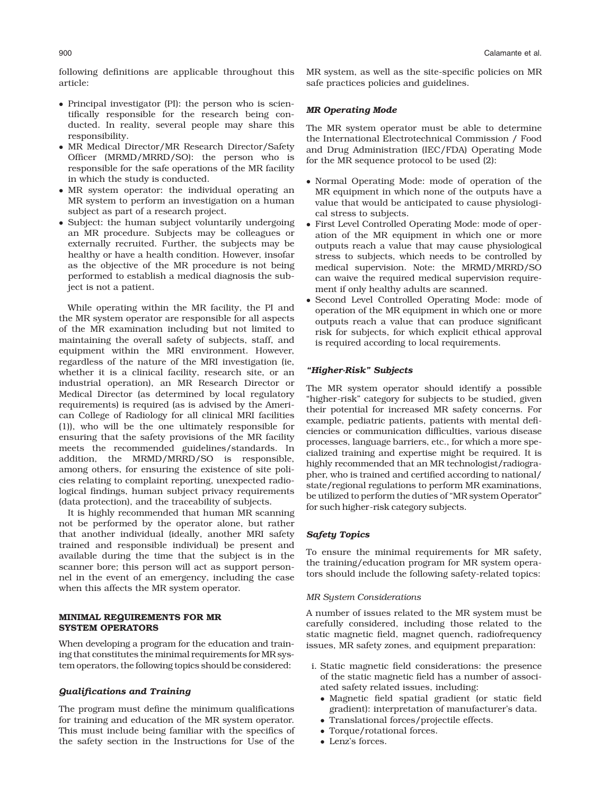following definitions are applicable throughout this article:

- Principal investigator (PI): the person who is scientifically responsible for the research being conducted. In reality, several people may share this responsibility.
- MR Medical Director/MR Research Director/Safety Officer (MRMD/MRRD/SO): the person who is responsible for the safe operations of the MR facility in which the study is conducted.
- MR system operator: the individual operating an MR system to perform an investigation on a human subject as part of a research project.
- Subject: the human subject voluntarily undergoing an MR procedure. Subjects may be colleagues or externally recruited. Further, the subjects may be healthy or have a health condition. However, insofar as the objective of the MR procedure is not being performed to establish a medical diagnosis the subject is not a patient.

While operating within the MR facility, the PI and the MR system operator are responsible for all aspects of the MR examination including but not limited to maintaining the overall safety of subjects, staff, and equipment within the MRI environment. However, regardless of the nature of the MRI investigation (ie, whether it is a clinical facility, research site, or an industrial operation), an MR Research Director or Medical Director (as determined by local regulatory requirements) is required (as is advised by the American College of Radiology for all clinical MRI facilities (1)), who will be the one ultimately responsible for ensuring that the safety provisions of the MR facility meets the recommended guidelines/standards. In addition, the MRMD/MRRD/SO is responsible, among others, for ensuring the existence of site policies relating to complaint reporting, unexpected radiological findings, human subject privacy requirements (data protection), and the traceability of subjects.

It is highly recommended that human MR scanning not be performed by the operator alone, but rather that another individual (ideally, another MRI safety trained and responsible individual) be present and available during the time that the subject is in the scanner bore; this person will act as support personnel in the event of an emergency, including the case when this affects the MR system operator.

## MINIMAL REQUIREMENTS FOR MR SYSTEM OPERATORS

When developing a program for the education and training that constitutes the minimal requirements for MR system operators, the following topics should be considered:

#### Qualifications and Training

The program must define the minimum qualifications for training and education of the MR system operator. This must include being familiar with the specifics of the safety section in the Instructions for Use of the

MR system, as well as the site-specific policies on MR safe practices policies and guidelines.

## MR Operating Mode

The MR system operator must be able to determine the International Electrotechnical Commission / Food and Drug Administration (IEC/FDA) Operating Mode for the MR sequence protocol to be used (2):

- Normal Operating Mode: mode of operation of the MR equipment in which none of the outputs have a value that would be anticipated to cause physiological stress to subjects.
- $\bullet$  First Level Controlled Operating Mode: mode of operation of the MR equipment in which one or more outputs reach a value that may cause physiological stress to subjects, which needs to be controlled by medical supervision. Note: the MRMD/MRRD/SO can waive the required medical supervision requirement if only healthy adults are scanned.
- Second Level Controlled Operating Mode: mode of operation of the MR equipment in which one or more outputs reach a value that can produce significant risk for subjects, for which explicit ethical approval is required according to local requirements.

#### "Higher-Risk" Subjects

The MR system operator should identify a possible "higher-risk" category for subjects to be studied, given their potential for increased MR safety concerns. For example, pediatric patients, patients with mental deficiencies or communication difficulties, various disease processes, language barriers, etc., for which a more specialized training and expertise might be required. It is highly recommended that an MR technologist/radiographer, who is trained and certified according to national/ state/regional regulations to perform MR examinations, be utilized to perform the duties of "MR system Operator" for such higher-risk category subjects.

#### Safety Topics

To ensure the minimal requirements for MR safety, the training/education program for MR system operators should include the following safety-related topics:

#### MR System Considerations

A number of issues related to the MR system must be carefully considered, including those related to the static magnetic field, magnet quench, radiofrequency issues, MR safety zones, and equipment preparation:

- i. Static magnetic field considerations: the presence of the static magnetic field has a number of associated safety related issues, including:
	- $\bullet$  Magnetic field spatial gradient (or static field gradient): interpretation of manufacturer's data.
	- Translational forces/projectile effects.
	- Torque/rotational forces.
	- Lenz's forces.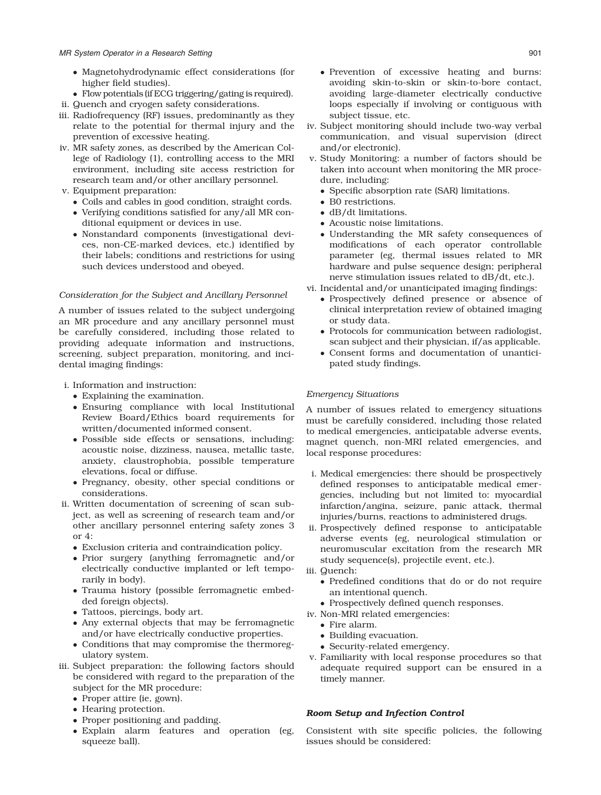#### MR System Operator in a Research Setting 901 and the state of the state of the state of the state of the state of the state of the state of the state of the state of the state of the state of the state of the state of the

- Magnetohydrodynamic effect considerations (for higher field studies).
- Flow potentials (if ECG triggering/gating is required).
- ii. Quench and cryogen safety considerations.
- iii. Radiofrequency (RF) issues, predominantly as they relate to the potential for thermal injury and the prevention of excessive heating.
- iv. MR safety zones, as described by the American College of Radiology (1), controlling access to the MRI environment, including site access restriction for research team and/or other ancillary personnel.
- v. Equipment preparation:
	- Coils and cables in good condition, straight cords.
	- Verifying conditions satisfied for any/all MR conditional equipment or devices in use.
	- Nonstandard components (investigational devices, non-CE-marked devices, etc.) identified by their labels; conditions and restrictions for using such devices understood and obeyed.

#### Consideration for the Subject and Ancillary Personnel

A number of issues related to the subject undergoing an MR procedure and any ancillary personnel must be carefully considered, including those related to providing adequate information and instructions, screening, subject preparation, monitoring, and incidental imaging findings:

# i. Information and instruction:

- Explaining the examination.
- Ensuring compliance with local Institutional Review Board/Ethics board requirements for written/documented informed consent.
- Possible side effects or sensations, including: acoustic noise, dizziness, nausea, metallic taste, anxiety, claustrophobia, possible temperature elevations, focal or diffuse.
- Pregnancy, obesity, other special conditions or considerations.
- ii. Written documentation of screening of scan subject, as well as screening of research team and/or other ancillary personnel entering safety zones 3 or 4:
	- Exclusion criteria and contraindication policy.
	- Prior surgery (anything ferromagnetic and/or electrically conductive implanted or left temporarily in body).
	- Trauma history (possible ferromagnetic embedded foreign objects).
	- Tattoos, piercings, body art.
	- Any external objects that may be ferromagnetic and/or have electrically conductive properties.
	- Conditions that may compromise the thermoregulatory system.
- iii. Subject preparation: the following factors should be considered with regard to the preparation of the subject for the MR procedure:
	- Proper attire (ie, gown).
	- Hearing protection.
	- Proper positioning and padding.
	- Explain alarm features and operation (eg, squeeze ball).
- Prevention of excessive heating and burns: avoiding skin-to-skin or skin-to-bore contact, avoiding large-diameter electrically conductive loops especially if involving or contiguous with subject tissue, etc.
- iv. Subject monitoring should include two-way verbal communication, and visual supervision (direct and/or electronic).
- v. Study Monitoring: a number of factors should be taken into account when monitoring the MR procedure, including:
	- Specific absorption rate (SAR) limitations.
	- B0 restrictions.
	- dB/dt limitations.
	- Acoustic noise limitations.
	- Understanding the MR safety consequences of modifications of each operator controllable parameter (eg, thermal issues related to MR hardware and pulse sequence design; peripheral nerve stimulation issues related to dB/dt, etc.).
- vi. Incidental and/or unanticipated imaging findings:
	- Prospectively defined presence or absence of clinical interpretation review of obtained imaging or study data.
	- Protocols for communication between radiologist, scan subject and their physician, if/as applicable.
	- Consent forms and documentation of unanticipated study findings.

#### Emergency Situations

A number of issues related to emergency situations must be carefully considered, including those related to medical emergencies, anticipatable adverse events, magnet quench, non-MRI related emergencies, and local response procedures:

- i. Medical emergencies: there should be prospectively defined responses to anticipatable medical emergencies, including but not limited to: myocardial infarction/angina, seizure, panic attack, thermal injuries/burns, reactions to administered drugs.
- ii. Prospectively defined response to anticipatable adverse events (eg, neurological stimulation or neuromuscular excitation from the research MR study sequence(s), projectile event, etc.).
- iii. Quench:
	- Predefined conditions that do or do not require an intentional quench.
	- Prospectively defined quench responses.
- iv. Non-MRI related emergencies:
	- Fire alarm.
		- Building evacuation.
	- Security-related emergency.
- v. Familiarity with local response procedures so that adequate required support can be ensured in a timely manner.

## Room Setup and Infection Control

Consistent with site specific policies, the following issues should be considered: